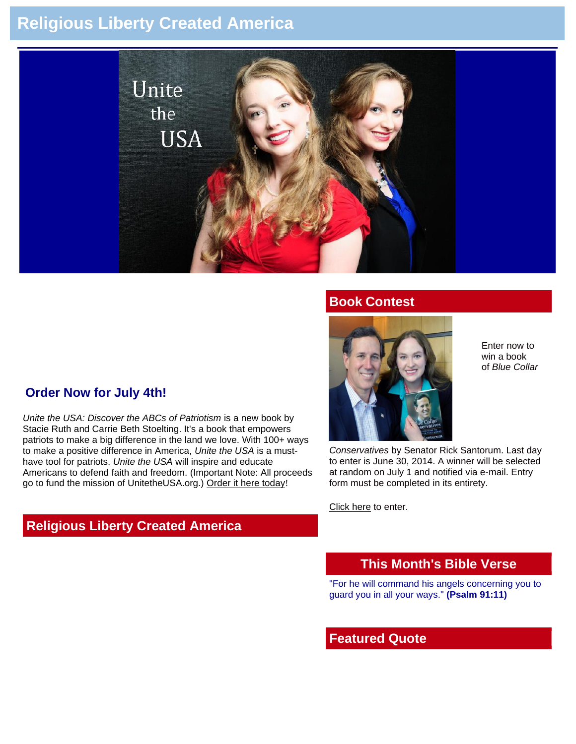# **Religious Liberty Created America**



#### **Book Contest**

## **Order Now for July 4th!**

*Unite the USA: Discover the ABCs of Patriotism* is a new book by Stacie Ruth and Carrie Beth Stoelting. It's a book that empowers patriots to make a big difference in the land we love. With 100+ ways to make a positive difference in America, *Unite the USA* is a musthave tool for patriots. *Unite the USA* will inspire and educate Americans to defend faith and freedom. (Important Note: All proceeds go to fund the mission of UnitetheUSA.org.) [Order it here today](http://unitetheusa.org/id56.html)!

# **Religious Liberty Created America**



Enter now to win a book of *Blue Collar* 

*Conservatives* by Senator Rick Santorum. Last day to enter is June 30, 2014. A winner will be selected at random on July 1 and notified via e-mail. Entry form must be completed in its entirety.

[Click here](http://unitetheusa.org/id115.html) to enter.

#### **This Month's Bible Verse**

"For he will command his angels concerning you to guard you in all your ways." **(Psalm 91:11)**

#### **Featured Quote**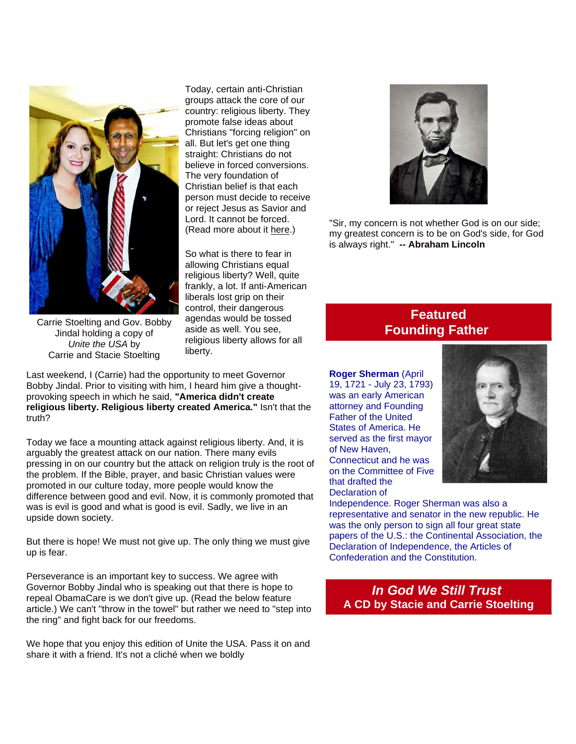

Today, certain anti-Christian groups attack the core of our country: religious liberty. They promote false ideas about Christians "forcing religion" on all. But let's get one thing straight: Christians do not believe in forced conversions. The very foundation of Christian belief is that each person must decide to receive or reject Jesus as Savior and Lord. It cannot be forced. (Read more about it [here.](http://prayingpals.org/knowgod.html))

So what is there to fear in allowing Christians equal religious liberty? Well, quite frankly, a lot. If anti-American liberals lost grip on their control, their dangerous agendas would be tossed aside as well. You see, religious liberty allows for all liberty.

Carrie Stoelting and Gov. Bobby Jindal holding a copy of *Unite the USA* by Carrie and Stacie Stoelting

Last weekend, I (Carrie) had the opportunity to meet Governor Bobby Jindal. Prior to visiting with him, I heard him give a thoughtprovoking speech in which he said, **"America didn't create religious liberty. Religious liberty created America."** Isn't that the truth?

Today we face a mounting attack against religious liberty. And, it is arguably the greatest attack on our nation. There many evils pressing in on our country but the attack on religion truly is the root of the problem. If the Bible, prayer, and basic Christian values were promoted in our culture today, more people would know the difference between good and evil. Now, it is commonly promoted that was is evil is good and what is good is evil. Sadly, we live in an upside down society.

But there is hope! We must not give up. The only thing we must give up is fear.

Perseverance is an important key to success. We agree with Governor Bobby Jindal who is speaking out that there is hope to repeal ObamaCare is we don't give up. (Read the below feature article.) We can't "throw in the towel" but rather we need to "step into the ring" and fight back for our freedoms.

We hope that you enjoy this edition of Unite the USA. Pass it on and share it with a friend. It's not a cliché when we boldly



"Sir, my concern is not whether God is on our side; my greatest concern is to be on God's side, for God is always right." **-- Abraham Lincoln**

# **Featured Founding Father**

**Roger Sherman** (April 19, 1721 - July 23, 1793) was an early American attorney and Founding Father of the United States of America. He served as the first mayor of New Haven, Connecticut and he was on the Committee of Five that drafted the Declaration of



Independence. Roger Sherman was also a representative and senator in the new republic. He was the only person to sign all four great state papers of the U.S.: the Continental Association, the Declaration of Independence, the Articles of Confederation and the Constitution.

*In God We Still Trust* **A CD by Stacie and Carrie Stoelting**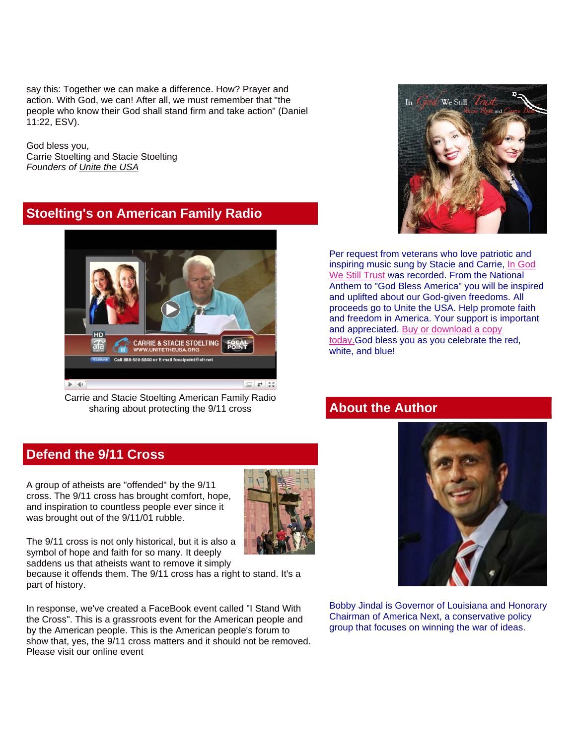say this: Together we can make a difference. How? Prayer and action. With God, we can! After all, we must remember that "the people who know their God shall stand firm and take action" (Daniel 11:22, ESV).

God bless you, Carrie Stoelting and Stacie Stoelting *Founders of [Unite the USA](http://unitetheusa.org/index.html)*

# **Stoelting's on American Family Radio**



Carrie and Stacie Stoelting American Family Radio sharing about protecting the 9/11 cross



Per request from veterans who love patriotic and inspiring music sung by Stacie and Carrie, [In God](http://unitetheusa.org/id56.html)  [We Still Trust](http://unitetheusa.org/id56.html) was recorded. From the National Anthem to "God Bless America" you will be inspired and uplifted about our God-given freedoms. All proceeds go to Unite the USA. Help promote faith and freedom in America. Your support is important and appreciated. [Buy or download a copy](http://unitetheusa.org/id56.html)  [today.G](http://unitetheusa.org/id56.html)od bless you as you celebrate the red, white, and blue!

## **About the Author**

## **Defend the 9/11 Cross**

A group of atheists are "offended" by the 9/11 cross. The 9/11 cross has brought comfort, hope, and inspiration to countless people ever since it was brought out of the 9/11/01 rubble.



The 9/11 cross is not only historical, but it is also a symbol of hope and faith for so many. It deeply saddens us that atheists want to remove it simply

because it offends them. The 9/11 cross has a right to stand. It's a part of history.

In response, we've created a FaceBook event called "I Stand With the Cross". This is a grassroots event for the American people and by the American people. This is the American people's forum to show that, yes, the 9/11 cross matters and it should not be removed. Please visit our online event



Bobby Jindal is Governor of Louisiana and Honorary Chairman of America Next, a conservative policy group that focuses on winning the war of ideas.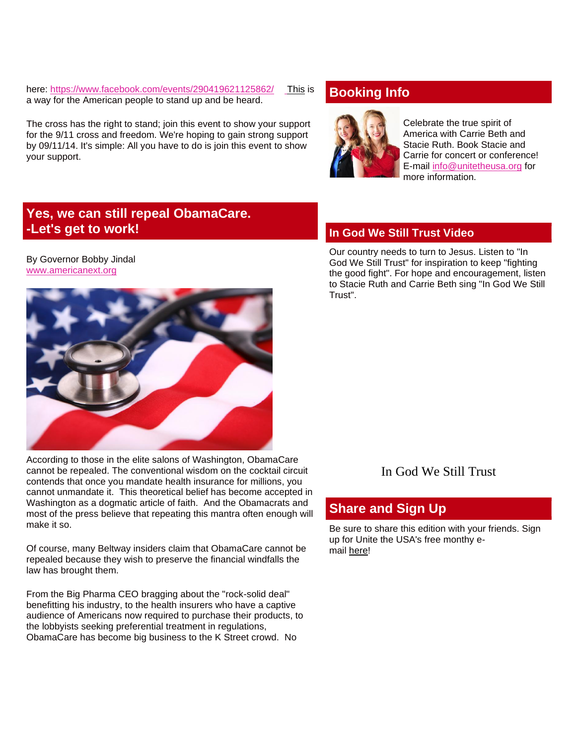here: [https://www.facebook.com/events/290419621125862/](http://r20.rs6.net/tn.jsp?e=001AWD9xA9E93UKEYmtCrd0cyGap_irf5O1rYiB-RgbWqufjthVE8BgQbVF6O8mROmIiGQBXPLyJKRaOleE_fIY_P14qzC4Pdazh9MuTsRIiz1Ti2XTTuZExl_MbQJnNBxP9_A0lAEvvJOYk3iCgs31cw==) [This](http://unitetheusa.org/id116.html) is a way for the American people to stand up and be heard.

The cross has the right to stand; join this event to show your support for the 9/11 cross and freedom. We're hoping to gain strong support by 09/11/14. It's simple: All you have to do is join this event to show your support.

# **Booking Info**



Celebrate the true spirit of America with Carrie Beth and Stacie Ruth. Book Stacie and Carrie for concert or conference! E-mail [info@unitetheusa.org](mailto:info@unitetheusa.org) for more information.

# **Yes, we can still repeal ObamaCare. -Let's get to work!**

#### By Governor Bobby Jindal [www.americanext.org](http://r20.rs6.net/tn.jsp?e=001AWD9xA9E93UKEYmtCrd0cyGap_irf5O1rYiB-RgbWqufjthVE8BgQbVF6O8mROmIuljDFxzm0Dn7m0ojCA4lPjcnG2ysiszXLFnejCr5Pyc=)



According to those in the elite salons of Washington, ObamaCare cannot be repealed. The conventional wisdom on the cocktail circuit contends that once you mandate health insurance for millions, you cannot unmandate it. This theoretical belief has become accepted in Washington as a dogmatic article of faith. And the Obamacrats and most of the press believe that repeating this mantra often enough will make it so.

Of course, many Beltway insiders claim that ObamaCare cannot be repealed because they wish to preserve the financial windfalls the law has brought them.

From the Big Pharma CEO bragging about the "rock-solid deal" benefitting his industry, to the health insurers who have a captive audience of Americans now required to purchase their products, to the lobbyists seeking preferential treatment in regulations, ObamaCare has become big business to the K Street crowd. No

#### **In God We Still Trust Video**

Our country needs to turn to Jesus. Listen to "In God We Still Trust" for inspiration to keep "fighting the good fight". For hope and encouragement, listen to Stacie Ruth and Carrie Beth sing "In God We Still Trust".

#### In God We Still Trust

#### **Share and Sign Up**

Be sure to share this edition with your friends. Sign up for Unite the USA's free monthy email [here!](http://unitetheusa.org/id2.html)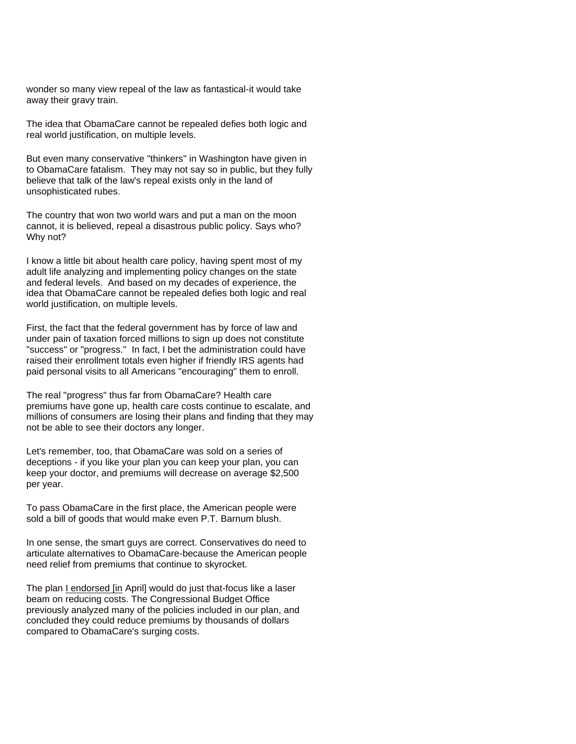wonder so many view repeal of the law as fantastical-it would take away their gravy train.

The idea that ObamaCare cannot be repealed defies both logic and real world justification, on multiple levels.

But even many conservative "thinkers" in Washington have given in to ObamaCare fatalism. They may not say so in public, but they fully believe that talk of the law's repeal exists only in the land of unsophisticated rubes.

The country that won two world wars and put a man on the moon cannot, it is believed, repeal a disastrous public policy. Says who? Why not?

I know a little bit about health care policy, having spent most of my adult life analyzing and implementing policy changes on the state and federal levels. And based on my decades of experience, the idea that ObamaCare cannot be repealed defies both logic and real world justification, on multiple levels.

First, the fact that the federal government has by force of law and under pain of taxation forced millions to sign up does not constitute "success" or "progress." In fact, I bet the administration could have raised their enrollment totals even higher if friendly IRS agents had paid personal visits to all Americans "encouraging" them to enroll.

The real "progress" thus far from ObamaCare? Health care premiums have gone up, health care costs continue to escalate, and millions of consumers are losing their plans and finding that they may not be able to see their doctors any longer.

Let's remember, too, that ObamaCare was sold on a series of deceptions - if you like your plan you can keep your plan, you can keep your doctor, and premiums will decrease on average \$2,500 per year.

To pass ObamaCare in the first place, the American people were sold a bill of goods that would make even P.T. Barnum blush.

In one sense, the smart guys are correct. Conservatives do need to articulate alternatives to ObamaCare-because the American people need relief from premiums that continue to skyrocket.

The plan [I endorsed \[in](http://unitetheusa.org/id116.html) April] would do just that-focus like a laser beam on reducing costs. The Congressional Budget Office previously analyzed many of the policies included in our plan, and concluded they could reduce premiums by thousands of dollars compared to ObamaCare's surging costs.